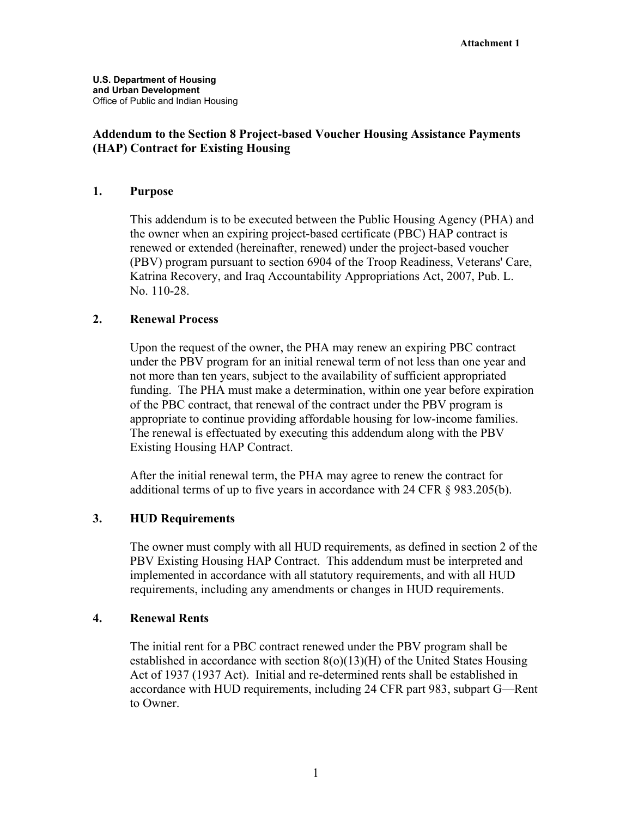## **Addendum to the Section 8 Project-based Voucher Housing Assistance Payments (HAP) Contract for Existing Housing**

### **1. Purpose**

This addendum is to be executed between the Public Housing Agency (PHA) and the owner when an expiring project-based certificate (PBC) HAP contract is renewed or extended (hereinafter, renewed) under the project-based voucher (PBV) program pursuant to section 6904 of the Troop Readiness, Veterans' Care, Katrina Recovery, and Iraq Accountability Appropriations Act, 2007, Pub. L. No. 110-28.

### **2. Renewal Process**

Upon the request of the owner, the PHA may renew an expiring PBC contract under the PBV program for an initial renewal term of not less than one year and not more than ten years, subject to the availability of sufficient appropriated funding. The PHA must make a determination, within one year before expiration of the PBC contract, that renewal of the contract under the PBV program is appropriate to continue providing affordable housing for low-income families. The renewal is effectuated by executing this addendum along with the PBV Existing Housing HAP Contract.

After the initial renewal term, the PHA may agree to renew the contract for additional terms of up to five years in accordance with 24 CFR § 983.205(b).

## **3. HUD Requirements**

The owner must comply with all HUD requirements, as defined in section 2 of the PBV Existing Housing HAP Contract. This addendum must be interpreted and implemented in accordance with all statutory requirements, and with all HUD requirements, including any amendments or changes in HUD requirements.

#### **4. Renewal Rents**

The initial rent for a PBC contract renewed under the PBV program shall be established in accordance with section 8(o)(13)(H) of the United States Housing Act of 1937 (1937 Act). Initial and re-determined rents shall be established in accordance with HUD requirements, including 24 CFR part 983, subpart G—Rent to Owner.